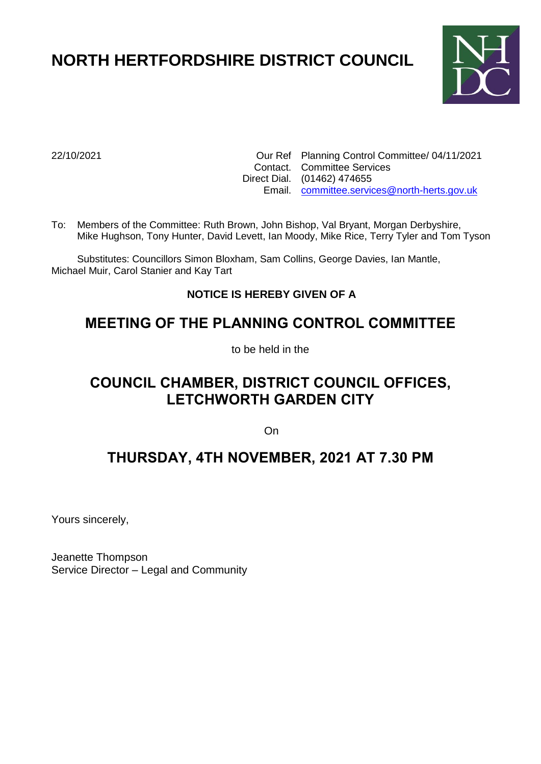# **NORTH HERTFORDSHIRE DISTRICT COUNCIL**



22/10/2021 Our Ref Planning Control Committee/ 04/11/2021 Contact. Committee Services Direct Dial. (01462) 474655 Email. [committee.services@north-herts.gov.uk](mailto:committee.services@north-herts.gov.uk)

To: Members of the Committee: Ruth Brown, John Bishop, Val Bryant, Morgan Derbyshire, Mike Hughson, Tony Hunter, David Levett, Ian Moody, Mike Rice, Terry Tyler and Tom Tyson

Substitutes: Councillors Simon Bloxham, Sam Collins, George Davies, Ian Mantle, Michael Muir, Carol Stanier and Kay Tart

## **NOTICE IS HEREBY GIVEN OF A**

## **MEETING OF THE PLANNING CONTROL COMMITTEE**

to be held in the

# **COUNCIL CHAMBER, DISTRICT COUNCIL OFFICES, LETCHWORTH GARDEN CITY**

On

## **THURSDAY, 4TH NOVEMBER, 2021 AT 7.30 PM**

Yours sincerely,

Jeanette Thompson Service Director – Legal and Community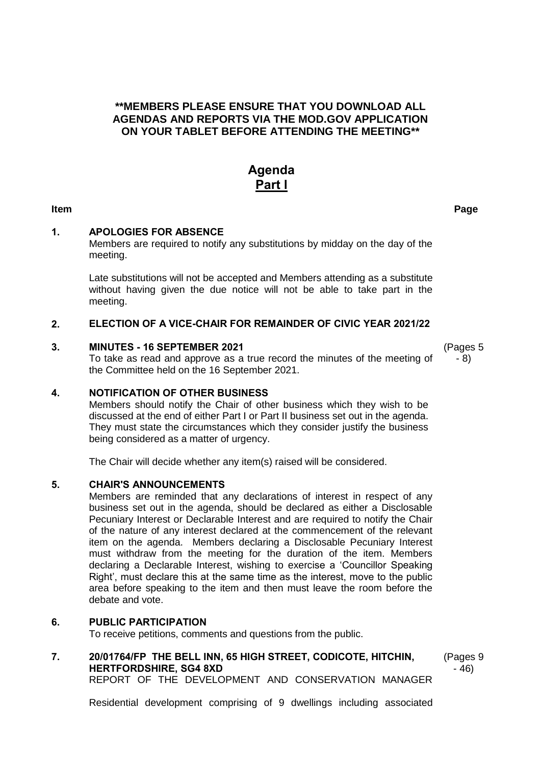#### **\*\*MEMBERS PLEASE ENSURE THAT YOU DOWNLOAD ALL AGENDAS AND REPORTS VIA THE MOD.GOV APPLICATION ON YOUR TABLET BEFORE ATTENDING THE MEETING\*\***

## **Agenda Part l**

#### **1. APOLOGIES FOR ABSENCE**

Members are required to notify any substitutions by midday on the day of the meeting.

Late substitutions will not be accepted and Members attending as a substitute without having given the due notice will not be able to take part in the meeting.

#### **2. ELECTION OF A VICE-CHAIR FOR REMAINDER OF CIVIC YEAR 2021/22**

#### **3. MINUTES - 16 SEPTEMBER 2021**

To take as read and approve as a true record the minutes of the meeting of the Committee held on the 16 September 2021.

### (Pages 5 - 8)

#### **4. NOTIFICATION OF OTHER BUSINESS**

Members should notify the Chair of other business which they wish to be discussed at the end of either Part I or Part II business set out in the agenda. They must state the circumstances which they consider justify the business being considered as a matter of urgency.

The Chair will decide whether any item(s) raised will be considered.

#### **5. CHAIR'S ANNOUNCEMENTS**

Members are reminded that any declarations of interest in respect of any business set out in the agenda, should be declared as either a Disclosable Pecuniary Interest or Declarable Interest and are required to notify the Chair of the nature of any interest declared at the commencement of the relevant item on the agenda. Members declaring a Disclosable Pecuniary Interest must withdraw from the meeting for the duration of the item. Members declaring a Declarable Interest, wishing to exercise a 'Councillor Speaking Right', must declare this at the same time as the interest, move to the public area before speaking to the item and then must leave the room before the debate and vote.

#### **6. PUBLIC PARTICIPATION**

To receive petitions, comments and questions from the public.

### **7. 20/01764/FP THE BELL INN, 65 HIGH STREET, CODICOTE, HITCHIN, HERTFORDSHIRE, SG4 8XD**

(Pages 9 - 46)

REPORT OF THE DEVELOPMENT AND CONSERVATION MANAGER

Residential development comprising of 9 dwellings including associated

**Item Page**